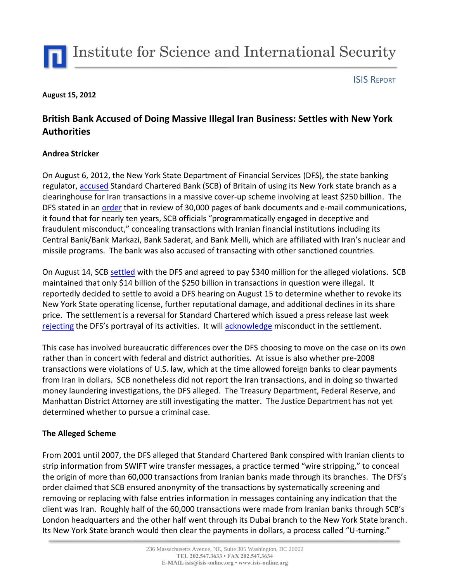

#### ISIS REPORT

### **August 15, 2012**

# **British Bank Accused of Doing Massive Illegal Iran Business: Settles with New York Authorities**

## **Andrea Stricker**

On August 6, 2012, the New York State Department of Financial Services (DFS), the state banking regulator, [accused](http://www.nytimes.com/2012/08/07/business/standard-chartered-bank-accused-of-hiding-transactions-with-iranians.html?_r=1&pagewanted=all) Standard Chartered Bank (SCB) of Britain of using its New York state branch as a clearinghouse for Iran transactions in a massive cover-up scheme involving at least \$250 billion. The DFS stated in a[n order](http://www.dfs.ny.gov/banking/ea120806.pdf) that in review of 30,000 pages of bank documents and e-mail communications, it found that for nearly ten years, SCB officials "programmatically engaged in deceptive and fraudulent misconduct," concealing transactions with Iranian financial institutions including its Central Bank/Bank Markazi, Bank Saderat, and Bank Melli, which are affiliated with Iran's nuclear and missile programs. The bank was also accused of transacting with other sanctioned countries.

On August 14, SCB [settled](http://www.nytimes.com/2012/08/15/business/standard-chartered-settles-with-new-york-for-340-million.html?_r=1&hp) with the DFS and agreed to pay \$340 million for the alleged violations. SCB maintained that only \$14 billion of the \$250 billion in transactions in question were illegal. It reportedly decided to settle to avoid a DFS hearing on August 15 to determine whether to revoke its New York State operating license, further reputational damage, and additional declines in its share price. The settlement is a reversal for Standard Chartered which issued a press release last week [rejecting](http://www.standardchartered.com/en/news-and-media/news/global/2012-08-06-response-to-NY-State-Department-comments.html) the DFS's portrayal of its activities. It will [acknowledge](http://online.wsj.com/article/SB10000872396390444318104577589380427559426.html) misconduct in the settlement.

This case has involved bureaucratic differences over the DFS choosing to move on the case on its own rather than in concert with federal and district authorities. At issue is also whether pre-2008 transactions were violations of U.S. law, which at the time allowed foreign banks to clear payments from Iran in dollars. SCB nonetheless did not report the Iran transactions, and in doing so thwarted money laundering investigations, the DFS alleged. The Treasury Department, Federal Reserve, and Manhattan District Attorney are still investigating the matter. The Justice Department has not yet determined whether to pursue a criminal case.

# **The Alleged Scheme**

From 2001 until 2007, the DFS alleged that Standard Chartered Bank conspired with Iranian clients to strip information from SWIFT wire transfer messages, a practice termed "wire stripping," to conceal the origin of more than 60,000 transactions from Iranian banks made through its branches. The DFS's order claimed that SCB ensured anonymity of the transactions by systematically screening and removing or replacing with false entries information in messages containing any indication that the client was Iran. Roughly half of the 60,000 transactions were made from Iranian banks through SCB's London headquarters and the other half went through its Dubai branch to the New York State branch. Its New York State branch would then clear the payments in dollars, a process called "U-turning."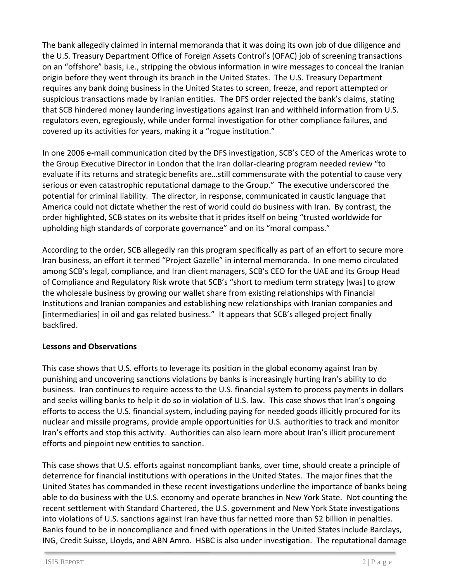The bank allegedly claimed in internal memoranda that it was doing its own job of due diligence and the U.S. Treasury Department Office of Foreign Assets Control's (OFAC) job of screening transactions on an "offshore" basis, i.e., stripping the obvious information in wire messages to conceal the Iranian origin before they went through its branch in the United States. The U.S. Treasury Department requires any bank doing business in the United States to screen, freeze, and report attempted or suspicious transactions made by Iranian entities. The DFS order rejected the bank's claims, stating that SCB hindered money laundering investigations against Iran and withheld information from U.S. regulators even, egregiously, while under formal investigation for other compliance failures, and covered up its activities for years, making it a "rogue institution."

In one 2006 e-mail communication cited by the DFS investigation, SCB's CEO of the Americas wrote to the Group Executive Director in London that the Iran dollar-clearing program needed review "to evaluate if its returns and strategic benefits are…still commensurate with the potential to cause very serious or even catastrophic reputational damage to the Group." The executive underscored the potential for criminal liability. The director, in response, communicated in caustic language that America could not dictate whether the rest of world could do business with Iran. By contrast, the order highlighted, SCB states on its website that it prides itself on being "trusted worldwide for upholding high standards of corporate governance" and on its "moral compass."

According to the order, SCB allegedly ran this program specifically as part of an effort to secure more Iran business, an effort it termed "Project Gazelle" in internal memoranda. In one memo circulated among SCB's legal, compliance, and Iran client managers, SCB's CEO for the UAE and its Group Head of Compliance and Regulatory Risk wrote that SCB's "short to medium term strategy [was] to grow the wholesale business by growing our wallet share from existing relationships with Financial Institutions and Iranian companies and establishing new relationships with Iranian companies and [intermediaries] in oil and gas related business." It appears that SCB's alleged project finally backfired.

# **Lessons and Observations**

This case shows that U.S. efforts to leverage its position in the global economy against Iran by punishing and uncovering sanctions violations by banks is increasingly hurting Iran's ability to do business. Iran continues to require access to the U.S. financial system to process payments in dollars and seeks willing banks to help it do so in violation of U.S. law. This case shows that Iran's ongoing efforts to access the U.S. financial system, including paying for needed goods illicitly procured for its nuclear and missile programs, provide ample opportunities for U.S. authorities to track and monitor Iran's efforts and stop this activity. Authorities can also learn more about Iran's illicit procurement efforts and pinpoint new entities to sanction.

This case shows that U.S. efforts against noncompliant banks, over time, should create a principle of deterrence for financial institutions with operations in the United States. The major fines that the United States has commanded in these recent investigations underline the importance of banks being able to do business with the U.S. economy and operate branches in New York State. Not counting the recent settlement with Standard Chartered, the U.S. government and New York State investigations into violations of U.S. sanctions against Iran have thus far netted more than \$2 billion in penalties. Banks found to be in noncompliance and fined with operations in the United States include Barclays, ING, Credit Suisse, Lloyds, and ABN Amro. HSBC is also under investigation. The reputational damage